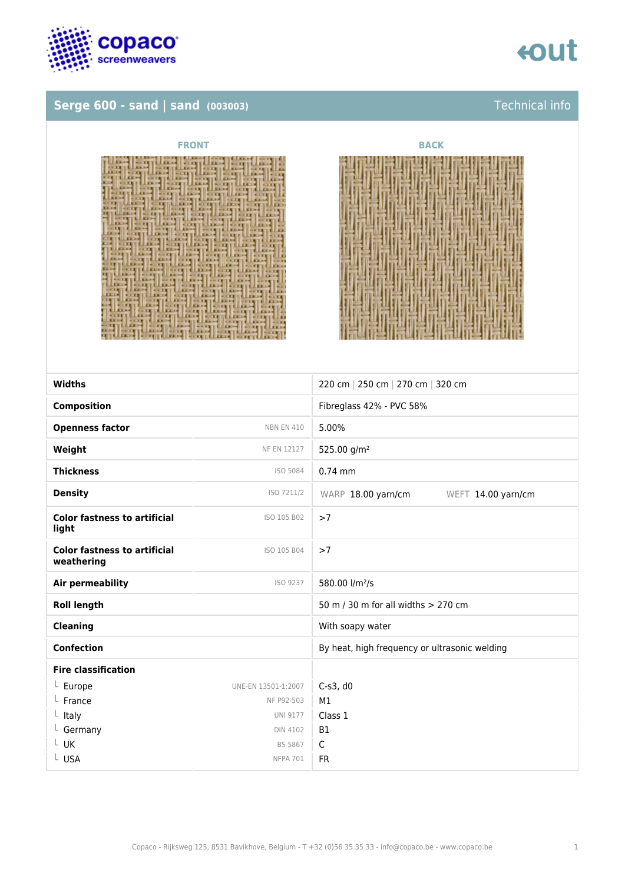

### **Serge 600 - sand | sand (003003)** Technical info



| <b>FRONT</b>                                                                                                                                                                                                                                                                                                                                                                                                                                                                                                                                                                                                                                                                                                                                                                                                                                                                                                                                                                                                                                                                                                                                                                                                                                                                                                                                                                                                                                                                                                                                                                                                                                                                                                                                                                                                                                                                                                                                                                                                                                                                                                                                                                                                                                                                                                                                                                                                           | <b>BACK</b> |
|------------------------------------------------------------------------------------------------------------------------------------------------------------------------------------------------------------------------------------------------------------------------------------------------------------------------------------------------------------------------------------------------------------------------------------------------------------------------------------------------------------------------------------------------------------------------------------------------------------------------------------------------------------------------------------------------------------------------------------------------------------------------------------------------------------------------------------------------------------------------------------------------------------------------------------------------------------------------------------------------------------------------------------------------------------------------------------------------------------------------------------------------------------------------------------------------------------------------------------------------------------------------------------------------------------------------------------------------------------------------------------------------------------------------------------------------------------------------------------------------------------------------------------------------------------------------------------------------------------------------------------------------------------------------------------------------------------------------------------------------------------------------------------------------------------------------------------------------------------------------------------------------------------------------------------------------------------------------------------------------------------------------------------------------------------------------------------------------------------------------------------------------------------------------------------------------------------------------------------------------------------------------------------------------------------------------------------------------------------------------------------------------------------------------|-------------|
| <u>I TITL</u><br>EXAM NAIL<br><b>LEEMS INCLUDE</b><br><b>ALBAM III START III</b><br><b>LEASE ENDED LEESES ENDS</b><br><b>The added to the first of the contract of the contract of the contract of the contract of the contract of the contract of the contract of the contract of the contract of the contract of the contract of the contract of the</b><br><b>ILLET</b><br><b>EXAMPLE IN A REAL PROPERTY</b><br><b>LEADS INCLUDE LEADS INCLU</b><br><b>EXAMPLE AND RESIDENTS CONTINUES.</b><br><b>ELECTRIC ENTERNA</b><br>п.<br><b>BERTHERE</b><br><b>LEASE CREATED FEDERAL CONTRACT</b><br><b>LEXAN BEAT</b><br><b>MARKET 1</b><br><b>KATES</b><br><b><i><u>RALLER RE</u></i></b><br><b>KATAN</b><br>ш<br><b>BARKET</b><br><b>ALLES HOUSES</b><br>---<br><b>PERSON</b><br><b><i><u>RAILLEE</u></i> REALLER</b><br><b>REALLY</b><br><b>LEADER</b><br><b>LEARS   KKLE  </b><br><b>EXAM ENTERS</b><br><b>ARADA CORPORA</b><br><b><i><u>BALLE   K.I.E.</u></i></b><br><b>LEADY CONCERT ELECTRIC CONCERTS</b><br><b>ARAMS DIRECT</b><br><b>LEASE REALLY</b><br><b><i><u>ALLES CONTRACTORS</u></i></b><br><b>EXCIT INCLES</b><br><b>ARANG BRITISHED</b><br><b>HERE'S EXTRA IN</b><br>.<br><b>CONTROLLER CONTROL</b><br><b>LEASEN CONSULTANCE IN THE REAL PROPERTY</b><br><b>LEASE EXCLU LEASES   SEAR I</b><br><b><i><u>EXISTENT</u></i></b><br>1.1.1<br><b>SELLER</b><br><b>LEETH CARTILE</b><br><b>LENNY THREE</b><br>---<br><b>EXAM CONTRACTOR CONTRACTOR</b><br>1 = <b>1 1 1</b><br><b>LEARN BARRY</b><br><b>EX.32</b><br><b>ILLEADY HEALTH IS</b><br><b>TELEVISION IN</b><br><b>EXAMPLE HOLD ENERGY CONTRACTOR</b><br><b>LAIRE NOTE</b><br><b>STATISTICS</b><br><b>SECURITIES AND RESIDENCE OF A REAL PROPERTY OF A REAL PROPERTY OF A REAL PROPERTY OF A REAL PROPERTY OF A REAL</b><br>$\frac{1}{2}$<br><b>CELLA DIRECTO</b><br><b>LAST HOMES</b><br>$11.2.14$ $11.2.14$ $11.4$<br><b>THE REAL</b><br><b>RAPE COMPANY</b><br><b>HARRY CERTIFICATION</b><br><b>STATE</b><br><b>EXISTING</b><br><b>RAILWAY EXCLUSIVE</b><br><b>ARANTI KEERIL</b><br><b>All Exists I Secure</b><br><b>REAL PROPERTY</b><br><b>LEASE INCLUDE:</b><br><b>REAL PROPERTY</b><br><b>READ CREATER</b><br><u> I Link (Frank)</u><br><b>A ROCK STATISTICS</b><br><b>STATISTICS</b><br><b>CARDS BUREAUX CARDS COMPANY</b><br><b>LEASY COULD IN LEASY COLORED</b><br><b>WELFER</b><br><b>RAILWORKSHIP</b><br><u>.</u><br>- 11<br><b>TELEST</b> |             |
| ----<br>,,,,,,                                                                                                                                                                                                                                                                                                                                                                                                                                                                                                                                                                                                                                                                                                                                                                                                                                                                                                                                                                                                                                                                                                                                                                                                                                                                                                                                                                                                                                                                                                                                                                                                                                                                                                                                                                                                                                                                                                                                                                                                                                                                                                                                                                                                                                                                                                                                                                                                         |             |

| <b>Widths</b>                                     |                     | 220 cm   250 cm   270 cm   320 cm             |
|---------------------------------------------------|---------------------|-----------------------------------------------|
| <b>Composition</b>                                |                     | Fibreglass 42% - PVC 58%                      |
| <b>Openness factor</b>                            | <b>NBN EN 410</b>   | 5.00%                                         |
| Weight                                            | <b>NF EN 12127</b>  | 525.00 g/m <sup>2</sup>                       |
| <b>Thickness</b>                                  | ISO 5084            | $0.74$ mm                                     |
| <b>Density</b>                                    | ISO 7211/2          | WARP 18.00 yarn/cm<br>WEFT 14.00 yarn/cm      |
| <b>Color fastness to artificial</b><br>light      | ISO 105 B02         | >7                                            |
| <b>Color fastness to artificial</b><br>weathering | ISO 105 B04         | >7                                            |
| Air permeability                                  | ISO 9237            | 580.00 l/m <sup>2</sup> /s                    |
| <b>Roll length</b>                                |                     | 50 m / 30 m for all widths > 270 cm           |
| <b>Cleaning</b>                                   |                     | With soapy water                              |
| <b>Confection</b>                                 |                     | By heat, high frequency or ultrasonic welding |
| <b>Fire classification</b>                        |                     |                                               |
| $L$ Europe                                        | UNE-EN 13501-1:2007 | $C-s3$ , d $0$                                |
| $L$ France                                        | NF P92-503          | M1                                            |
| $L$ Italy                                         | <b>UNI 9177</b>     | Class 1                                       |
| $L$ Germany                                       | <b>DIN 4102</b>     | <b>B1</b>                                     |
| $L$ UK                                            | <b>BS 5867</b>      | $\mathsf{C}$                                  |
| L USA                                             | <b>NFPA 701</b>     | <b>FR</b>                                     |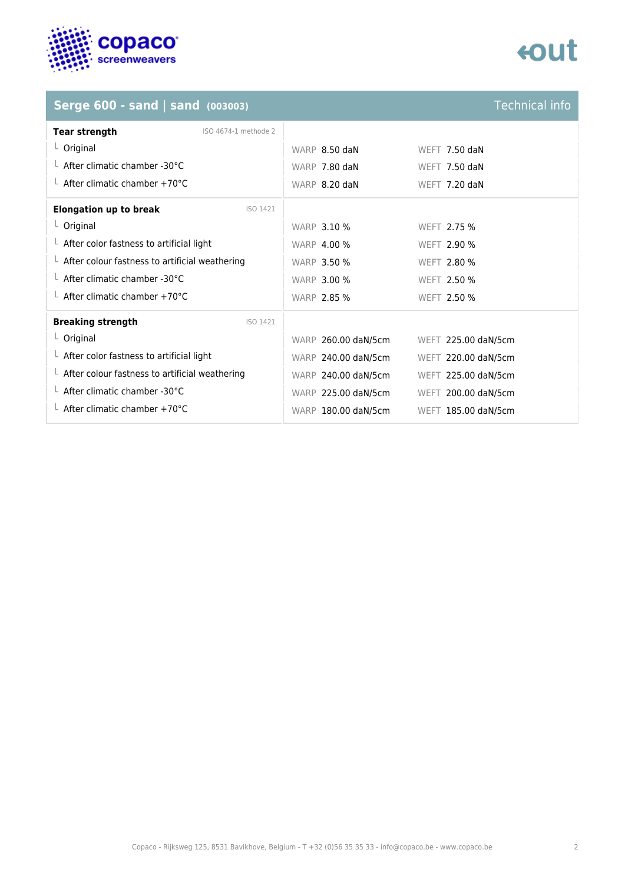

## **tout**

## **Serge 600 - sand | sand (003003)**

| <b>Technical info</b> |  |
|-----------------------|--|
|                       |  |
|                       |  |
|                       |  |

| <b>Tear strength</b><br>ISO 4674-1 methode 2           |                     |                     |
|--------------------------------------------------------|---------------------|---------------------|
| $L$ Original                                           | WARP 8.50 daN       | WEFT 7.50 daN       |
| $\perp$ After climatic chamber -30°C                   | WARP 7.80 daN       | WEFT 7.50 daN       |
| $\perp$ After climatic chamber +70°C                   | WARP 8.20 daN       | WEFT 7.20 daN       |
| <b>Elongation up to break</b><br>ISO 1421              |                     |                     |
| $L$ Original                                           | <b>WARP 3.10 %</b>  | WEFT 2.75 %         |
| $\perp$ After color fastness to artificial light       | <b>WARP 4.00 %</b>  | <b>WEFT 2.90 %</b>  |
| $\perp$ After colour fastness to artificial weathering | <b>WARP 3.50 %</b>  | WEFT 2.80 %         |
| $\perp$ After climatic chamber -30°C                   | <b>WARP 3.00 %</b>  | WEFT 2.50 %         |
| $\perp$ After climatic chamber +70°C                   | <b>WARP 2.85 %</b>  | WEFT 2.50 %         |
| <b>Breaking strength</b><br>ISO 1421                   |                     |                     |
| $L$ Original                                           | WARP 260.00 daN/5cm | WEFT 225.00 daN/5cm |
| $\perp$ After color fastness to artificial light       | WARP 240.00 daN/5cm | WEFT 220.00 daN/5cm |
| $\perp$ After colour fastness to artificial weathering | WARP 240.00 daN/5cm | WEFT 225.00 daN/5cm |
| $\perp$ After climatic chamber -30°C                   | WARP 225.00 daN/5cm | WEFT 200.00 daN/5cm |
| $\perp$ After climatic chamber +70°C                   | WARP 180.00 daN/5cm | WEFT 185.00 daN/5cm |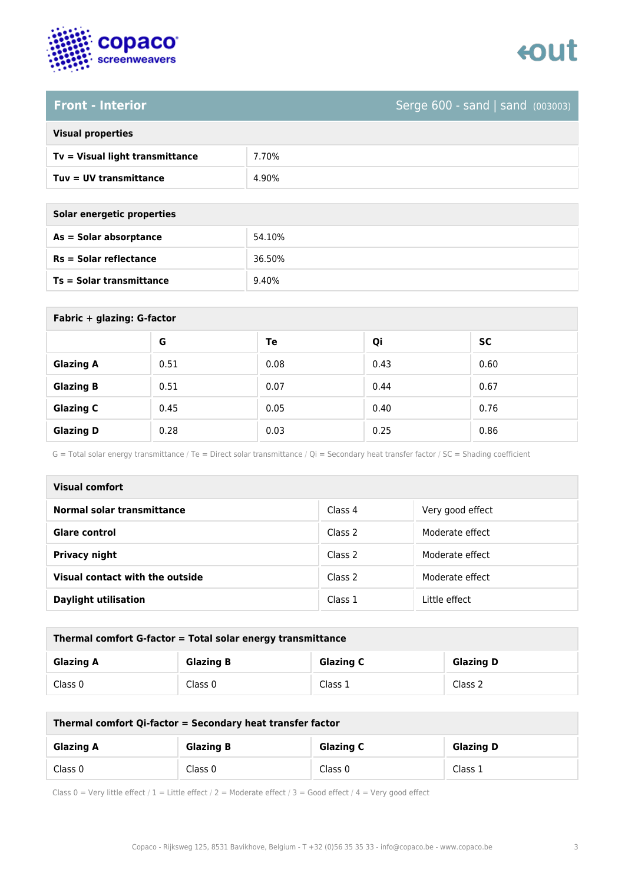



### **Front - Interior** Serge 600 - sand | sand (003003)

| <b>Visual properties</b> |  |  |
|--------------------------|--|--|
|                          |  |  |

| Tv = Visual light transmittance | 70%   |
|---------------------------------|-------|
| $Tuv = UV$ transmittance        | 4.90% |

**As = Solar absorptance** 54.10%

**Rs = Solar reflectance** 36.50%

| Solar energetic properties |  |
|----------------------------|--|
| As = Solar absorptance     |  |
| $Rs = Solar$ reflectance   |  |
|                            |  |

**Ts = Solar transmittance** 9.40%

| Fabric + glazing: G-factor |      |      |      |      |
|----------------------------|------|------|------|------|
|                            | G    | Te   | Qi   | SC   |
| <b>Glazing A</b>           | 0.51 | 0.08 | 0.43 | 0.60 |
| <b>Glazing B</b>           | 0.51 | 0.07 | 0.44 | 0.67 |
| <b>Glazing C</b>           | 0.45 | 0.05 | 0.40 | 0.76 |
| <b>Glazing D</b>           | 0.28 | 0.03 | 0.25 | 0.86 |

G = Total solar energy transmittance / Te = Direct solar transmittance / Qi = Secondary heat transfer factor / SC = Shading coefficient

| Visual comfort                    |         |                  |
|-----------------------------------|---------|------------------|
| <b>Normal solar transmittance</b> | Class 4 | Very good effect |
| Glare control                     | Class 2 | Moderate effect  |
| <b>Privacy night</b>              | Class 2 | Moderate effect  |
| Visual contact with the outside   | Class 2 | Moderate effect  |
| <b>Daylight utilisation</b>       | Class 1 | Little effect    |

| Thermal comfort G-factor = Total solar energy transmittance |                  |                  |                  |
|-------------------------------------------------------------|------------------|------------------|------------------|
| <b>Glazing A</b>                                            | <b>Glazing B</b> | <b>Glazing C</b> | <b>Glazing D</b> |
| Class 0                                                     | Class 0          | Class 1          | Class 2          |

| Thermal comfort Qi-factor = Secondary heat transfer factor |                  |                  |                  |
|------------------------------------------------------------|------------------|------------------|------------------|
| <b>Glazing A</b>                                           | <b>Glazing B</b> | <b>Glazing C</b> | <b>Glazing D</b> |
| Class 0                                                    | Class 0          | Class 0          | Class 1          |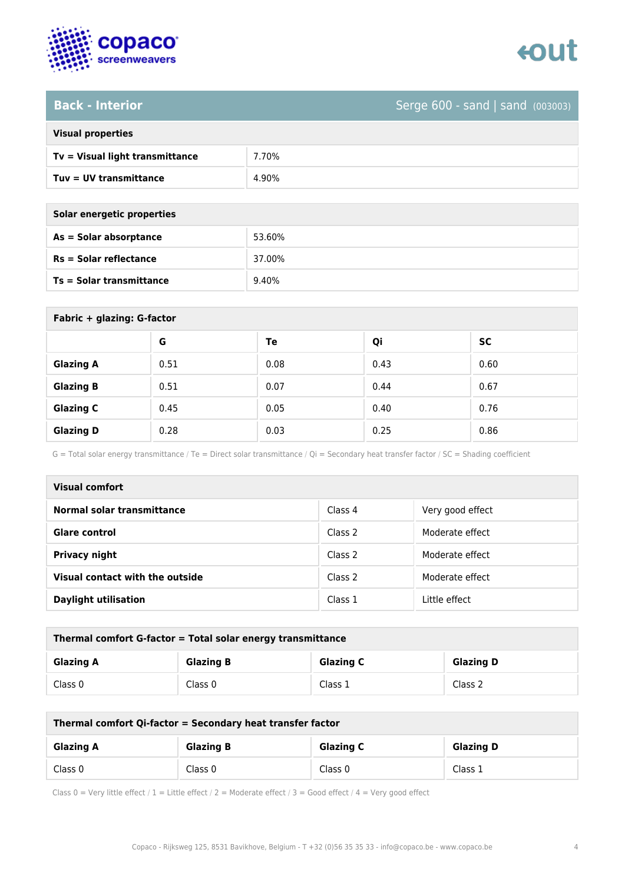

### **Back - Interior** Serge 600 - sand | sand (003003)

| <b>Visual properties</b> |
|--------------------------|

| $Tv = V$ isual light transmittance | 7.70% |
|------------------------------------|-------|
| Tuv = UV transmittance             | 4.90% |

**As = Solar absorptance** 53.60%

**Rs = Solar reflectance** 37.00%

| Solar energetic properties      |        |  |
|---------------------------------|--------|--|
| As = Solar absorptance          | 53.60% |  |
| $Rs = Solar$ reflectance        | 37.00% |  |
| <b>Ts = Solar transmittance</b> | 9.40%  |  |

| Fabric + glazing: G-factor |      |      |      |      |
|----------------------------|------|------|------|------|
|                            | G    | Te   | Qi   | SC   |
| <b>Glazing A</b>           | 0.51 | 0.08 | 0.43 | 0.60 |
| <b>Glazing B</b>           | 0.51 | 0.07 | 0.44 | 0.67 |
| <b>Glazing C</b>           | 0.45 | 0.05 | 0.40 | 0.76 |
| <b>Glazing D</b>           | 0.28 | 0.03 | 0.25 | 0.86 |

G = Total solar energy transmittance / Te = Direct solar transmittance / Qi = Secondary heat transfer factor / SC = Shading coefficient

| Visual comfort                    |         |                  |  |
|-----------------------------------|---------|------------------|--|
| <b>Normal solar transmittance</b> | Class 4 | Very good effect |  |
| Glare control                     | Class 2 | Moderate effect  |  |
| <b>Privacy night</b>              | Class 2 | Moderate effect  |  |
| Visual contact with the outside   | Class 2 | Moderate effect  |  |
| <b>Daylight utilisation</b>       | Class 1 | Little effect    |  |

| Thermal comfort G-factor = Total solar energy transmittance                  |         |         |         |  |
|------------------------------------------------------------------------------|---------|---------|---------|--|
| <b>Glazing C</b><br><b>Glazing B</b><br><b>Glazing D</b><br><b>Glazing A</b> |         |         |         |  |
| Class 0                                                                      | Class 0 | Class 1 | Class 2 |  |

| Thermal comfort Qi-factor = Secondary heat transfer factor                   |         |         |         |
|------------------------------------------------------------------------------|---------|---------|---------|
| <b>Glazing B</b><br><b>Glazing C</b><br><b>Glazing D</b><br><b>Glazing A</b> |         |         |         |
| Class 0                                                                      | Class 0 | Class 0 | Class 1 |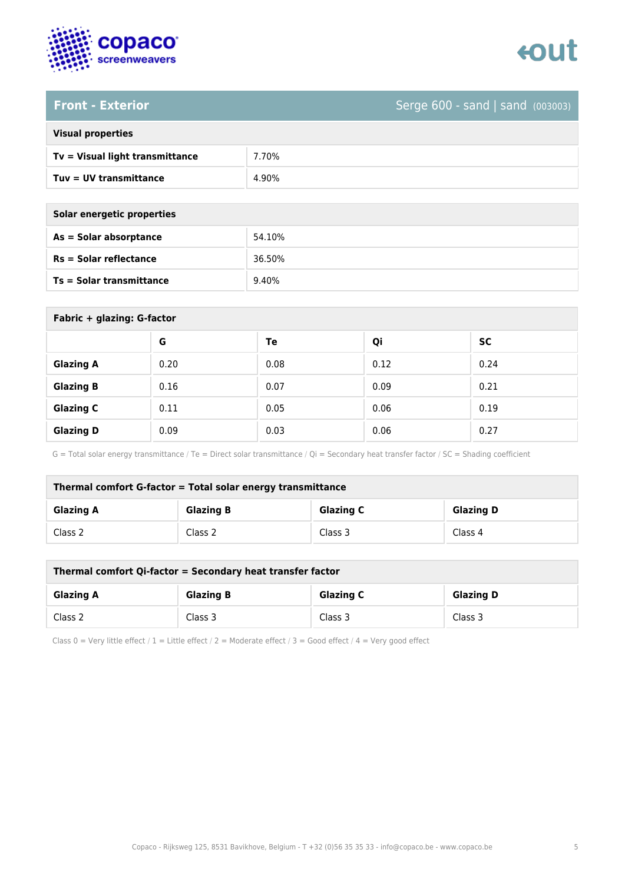

# tout

### **Front - Exterior** Serge 600 - sand | sand (003003)

| <b>Visual properties</b>        |       |  |
|---------------------------------|-------|--|
| Tv = Visual light transmittance | 7.70% |  |
| Tuv = UV transmittance          | 4.90% |  |
|                                 |       |  |

| Solar energetic properties |        |  |
|----------------------------|--------|--|
| As = Solar absorptance     | 54.10% |  |
| $Rs = Solar$ reflectance   | 36.50% |  |
| Ts = Solar transmittance   | 9.40%  |  |

| Fabric + glazing: G-factor |      |      |      |           |
|----------------------------|------|------|------|-----------|
|                            | G    | Te   | Qi   | <b>SC</b> |
| <b>Glazing A</b>           | 0.20 | 0.08 | 0.12 | 0.24      |
| <b>Glazing B</b>           | 0.16 | 0.07 | 0.09 | 0.21      |
| <b>Glazing C</b>           | 0.11 | 0.05 | 0.06 | 0.19      |
| <b>Glazing D</b>           | 0.09 | 0.03 | 0.06 | 0.27      |

G = Total solar energy transmittance / Te = Direct solar transmittance / Qi = Secondary heat transfer factor / SC = Shading coefficient

| Thermal comfort G-factor = Total solar energy transmittance |                  |                  |                  |  |
|-------------------------------------------------------------|------------------|------------------|------------------|--|
| <b>Glazing A</b>                                            | <b>Glazing B</b> | <b>Glazing C</b> | <b>Glazing D</b> |  |
| Class 2                                                     | Class 2          | Class 3          | Class 4          |  |

| Thermal comfort Qi-factor = Secondary heat transfer factor                   |         |         |         |
|------------------------------------------------------------------------------|---------|---------|---------|
| <b>Glazing C</b><br><b>Glazing B</b><br><b>Glazing D</b><br><b>Glazing A</b> |         |         |         |
| Class 2                                                                      | Class 3 | Class 3 | Class 3 |